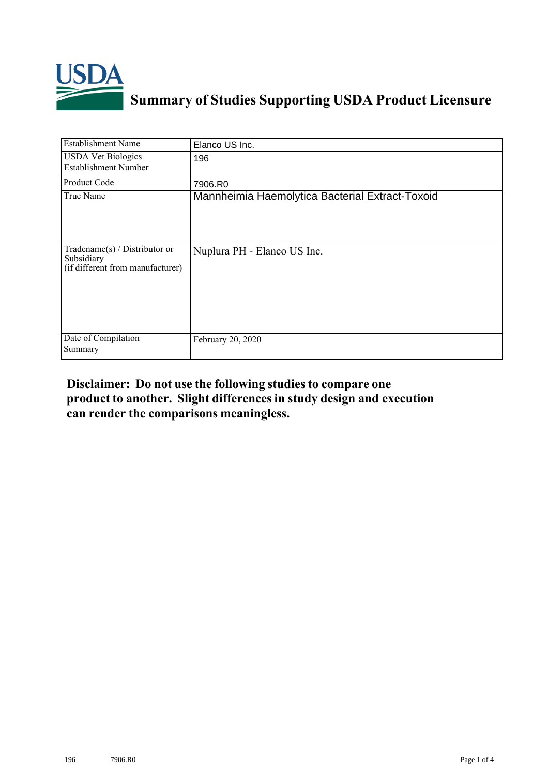

## **Summary of Studies Supporting USDA Product Licensure**

| <b>Establishment Name</b>                                                       | Elanco US Inc.                                  |
|---------------------------------------------------------------------------------|-------------------------------------------------|
| <b>USDA Vet Biologics</b><br><b>Establishment Number</b>                        | 196                                             |
| <b>Product Code</b>                                                             | 7906.R0                                         |
| True Name                                                                       | Mannheimia Haemolytica Bacterial Extract-Toxoid |
| Tradename(s) / Distributor or<br>Subsidiary<br>(if different from manufacturer) | Nuplura PH - Elanco US Inc.                     |
| Date of Compilation<br>Summary                                                  | February 20, 2020                               |

## **Disclaimer: Do not use the following studiesto compare one product to another. Slight differencesin study design and execution can render the comparisons meaningless.**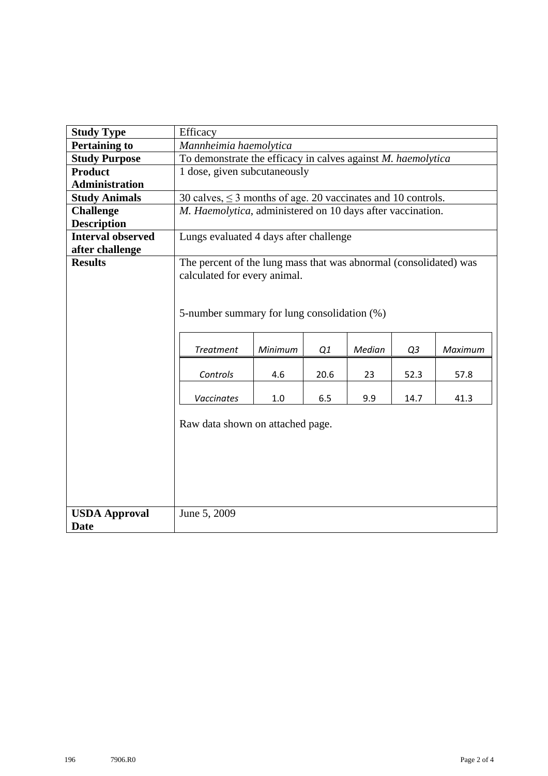| <b>Study Type</b>        | Efficacy                                                          |         |      |        |      |         |  |  |
|--------------------------|-------------------------------------------------------------------|---------|------|--------|------|---------|--|--|
| <b>Pertaining to</b>     | Mannheimia haemolytica                                            |         |      |        |      |         |  |  |
| <b>Study Purpose</b>     | To demonstrate the efficacy in calves against M. haemolytica      |         |      |        |      |         |  |  |
| <b>Product</b>           | 1 dose, given subcutaneously                                      |         |      |        |      |         |  |  |
| <b>Administration</b>    |                                                                   |         |      |        |      |         |  |  |
| <b>Study Animals</b>     | 30 calves, $\leq$ 3 months of age. 20 vaccinates and 10 controls. |         |      |        |      |         |  |  |
| <b>Challenge</b>         | M. Haemolytica, administered on 10 days after vaccination.        |         |      |        |      |         |  |  |
| <b>Description</b>       |                                                                   |         |      |        |      |         |  |  |
| <b>Interval observed</b> | Lungs evaluated 4 days after challenge                            |         |      |        |      |         |  |  |
| after challenge          |                                                                   |         |      |        |      |         |  |  |
| <b>Results</b>           | The percent of the lung mass that was abnormal (consolidated) was |         |      |        |      |         |  |  |
|                          | calculated for every animal.                                      |         |      |        |      |         |  |  |
|                          |                                                                   |         |      |        |      |         |  |  |
|                          |                                                                   |         |      |        |      |         |  |  |
|                          | 5-number summary for lung consolidation (%)                       |         |      |        |      |         |  |  |
|                          |                                                                   |         |      |        |      |         |  |  |
|                          |                                                                   |         |      |        |      |         |  |  |
|                          | <b>Treatment</b>                                                  | Minimum | Q1   | Median | Q3   | Maximum |  |  |
|                          |                                                                   |         |      |        |      |         |  |  |
|                          | Controls                                                          | 4.6     | 20.6 | 23     | 52.3 | 57.8    |  |  |
|                          | <b>Vaccinates</b>                                                 | 1.0     | 6.5  | 9.9    | 14.7 | 41.3    |  |  |
|                          |                                                                   |         |      |        |      |         |  |  |
|                          |                                                                   |         |      |        |      |         |  |  |
|                          | Raw data shown on attached page.                                  |         |      |        |      |         |  |  |
|                          |                                                                   |         |      |        |      |         |  |  |
|                          |                                                                   |         |      |        |      |         |  |  |
|                          |                                                                   |         |      |        |      |         |  |  |
|                          |                                                                   |         |      |        |      |         |  |  |
|                          |                                                                   |         |      |        |      |         |  |  |
| <b>USDA Approval</b>     | June 5, 2009                                                      |         |      |        |      |         |  |  |
| <b>Date</b>              |                                                                   |         |      |        |      |         |  |  |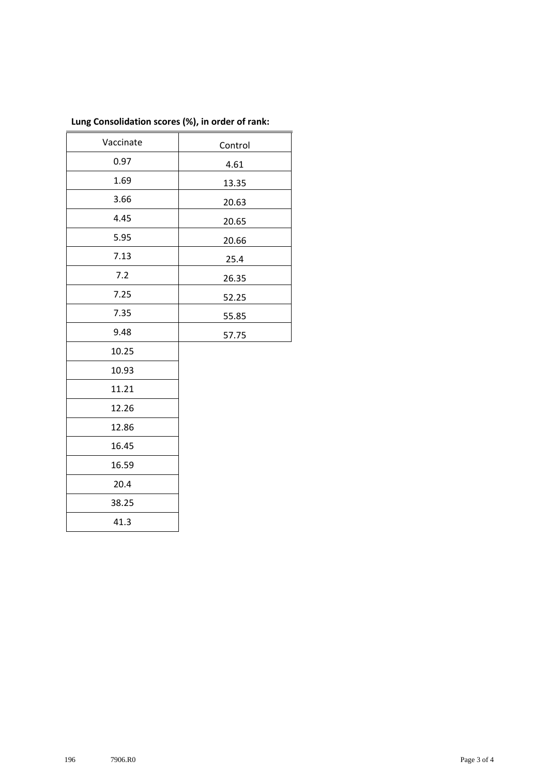| Vaccinate | Control |  |  |
|-----------|---------|--|--|
| 0.97      | 4.61    |  |  |
| 1.69      | 13.35   |  |  |
| 3.66      | 20.63   |  |  |
| 4.45      | 20.65   |  |  |
| 5.95      | 20.66   |  |  |
| 7.13      | 25.4    |  |  |
| 7.2       | 26.35   |  |  |
| 7.25      | 52.25   |  |  |
| 7.35      | 55.85   |  |  |
| 9.48      | 57.75   |  |  |
| 10.25     |         |  |  |
| 10.93     |         |  |  |
| 11.21     |         |  |  |
| 12.26     |         |  |  |
| 12.86     |         |  |  |
| 16.45     |         |  |  |
| 16.59     |         |  |  |
| 20.4      |         |  |  |
| 38.25     |         |  |  |
| 41.3      |         |  |  |
|           |         |  |  |

## **Lung Consolidation scores (%), in order of rank:**